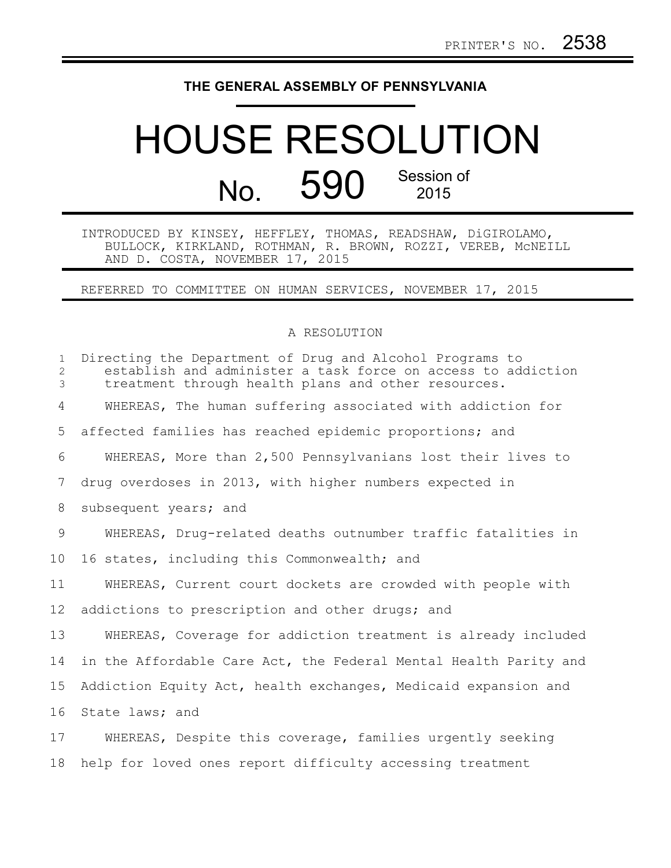## **THE GENERAL ASSEMBLY OF PENNSYLVANIA**

## HOUSE RESOLUTION No. 590 Session of 2015

INTRODUCED BY KINSEY, HEFFLEY, THOMAS, READSHAW, DiGIROLAMO, BULLOCK, KIRKLAND, ROTHMAN, R. BROWN, ROZZI, VEREB, McNEILL AND D. COSTA, NOVEMBER 17, 2015

REFERRED TO COMMITTEE ON HUMAN SERVICES, NOVEMBER 17, 2015

## A RESOLUTION

| $\mathbf{1}$<br>$\overline{c}$<br>3 | Directing the Department of Drug and Alcohol Programs to<br>establish and administer a task force on access to addiction<br>treatment through health plans and other resources. |
|-------------------------------------|---------------------------------------------------------------------------------------------------------------------------------------------------------------------------------|
| 4                                   | WHEREAS, The human suffering associated with addiction for                                                                                                                      |
| 5                                   | affected families has reached epidemic proportions; and                                                                                                                         |
| 6                                   | WHEREAS, More than 2,500 Pennsylvanians lost their lives to                                                                                                                     |
| 7                                   | drug overdoses in 2013, with higher numbers expected in                                                                                                                         |
| 8                                   | subsequent years; and                                                                                                                                                           |
| 9                                   | WHEREAS, Drug-related deaths outnumber traffic fatalities in                                                                                                                    |
| 10                                  | 16 states, including this Commonwealth; and                                                                                                                                     |
| 11                                  | WHEREAS, Current court dockets are crowded with people with                                                                                                                     |
| 12                                  | addictions to prescription and other drugs; and                                                                                                                                 |
| 13                                  | WHEREAS, Coverage for addiction treatment is already included                                                                                                                   |
| 14                                  | in the Affordable Care Act, the Federal Mental Health Parity and                                                                                                                |
| 15                                  | Addiction Equity Act, health exchanges, Medicaid expansion and                                                                                                                  |
| 16                                  | State laws; and                                                                                                                                                                 |
| 17                                  | WHEREAS, Despite this coverage, families urgently seeking                                                                                                                       |
| 18                                  | help for loved ones report difficulty accessing treatment                                                                                                                       |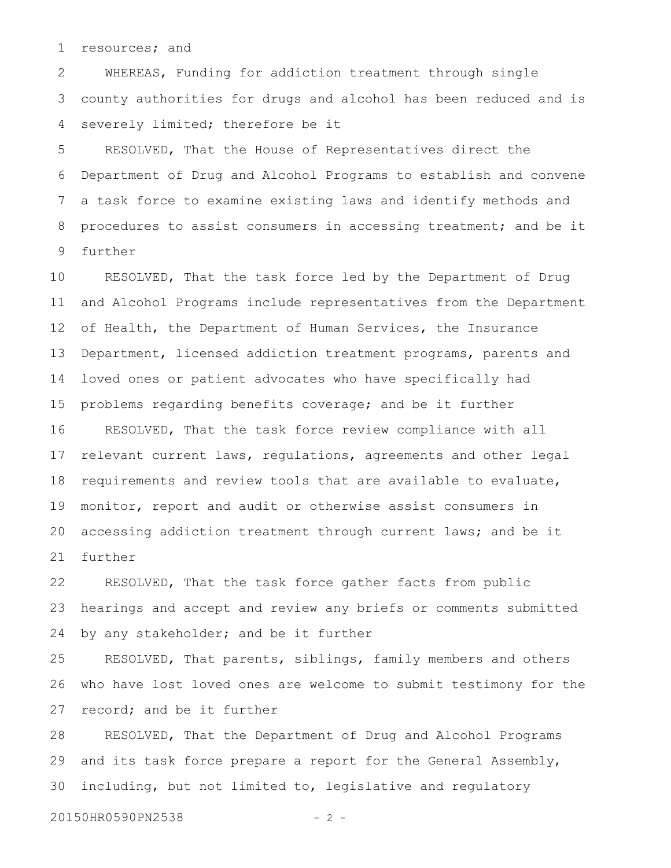resources; and 1

WHEREAS, Funding for addiction treatment through single county authorities for drugs and alcohol has been reduced and is severely limited; therefore be it 2 3 4

RESOLVED, That the House of Representatives direct the Department of Drug and Alcohol Programs to establish and convene a task force to examine existing laws and identify methods and procedures to assist consumers in accessing treatment; and be it further 5 6 7 8 9

RESOLVED, That the task force led by the Department of Drug and Alcohol Programs include representatives from the Department of Health, the Department of Human Services, the Insurance Department, licensed addiction treatment programs, parents and loved ones or patient advocates who have specifically had problems regarding benefits coverage; and be it further RESOLVED, That the task force review compliance with all relevant current laws, regulations, agreements and other legal requirements and review tools that are available to evaluate, monitor, report and audit or otherwise assist consumers in accessing addiction treatment through current laws; and be it further 10 11 12 13 14 15 16 17 18 19 20 21

RESOLVED, That the task force gather facts from public hearings and accept and review any briefs or comments submitted by any stakeholder; and be it further 22 23 24

RESOLVED, That parents, siblings, family members and others who have lost loved ones are welcome to submit testimony for the record; and be it further 25 26 27

RESOLVED, That the Department of Drug and Alcohol Programs and its task force prepare a report for the General Assembly, including, but not limited to, legislative and regulatory 28 29 30

20150HR0590PN2538 - 2 -